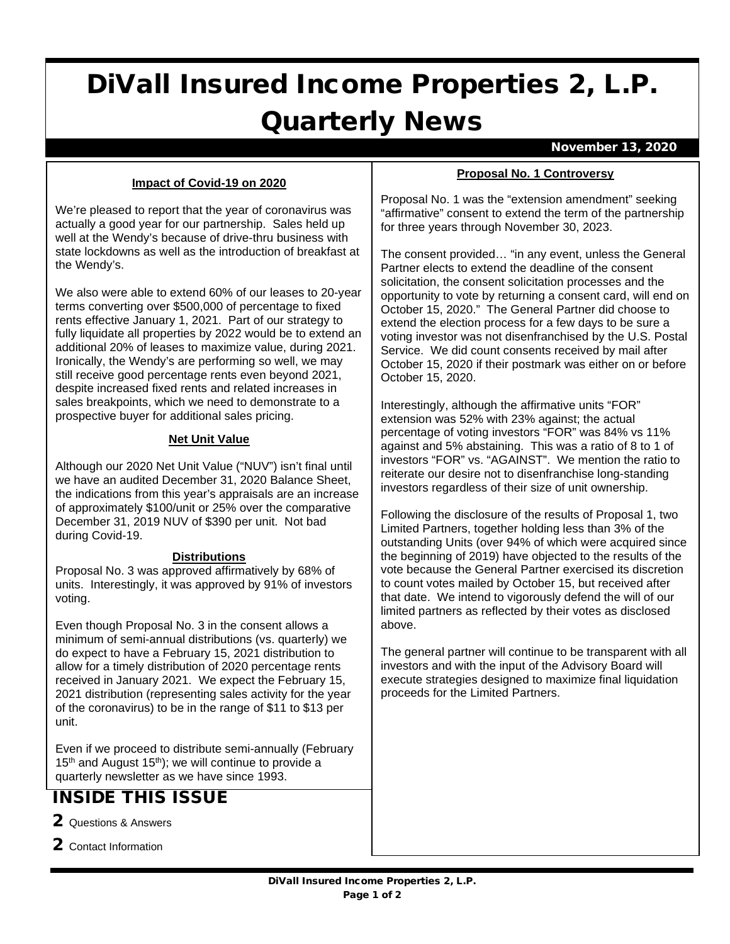# DiVall Insured Income Properties 2, L.P. Quarterly News

#### November 13, 2020

#### **Impact of Covid-19 on 2020**

We're pleased to report that the year of coronavirus was actually a good year for our partnership. Sales held up well at the Wendy's because of drive-thru business with state lockdowns as well as the introduction of breakfast at the Wendy's.

We also were able to extend 60% of our leases to 20-year terms converting over \$500,000 of percentage to fixed rents effective January 1, 2021. Part of our strategy to fully liquidate all properties by 2022 would be to extend an additional 20% of leases to maximize value, during 2021. Ironically, the Wendy's are performing so well, we may still receive good percentage rents even beyond 2021, despite increased fixed rents and related increases in sales breakpoints, which we need to demonstrate to a prospective buyer for additional sales pricing.

#### **Net Unit Value**

Although our 2020 Net Unit Value ("NUV") isn't final until we have an audited December 31, 2020 Balance Sheet, the indications from this year's appraisals are an increase of approximately \$100/unit or 25% over the comparative December 31, 2019 NUV of \$390 per unit. Not bad during Covid-19.

#### **Distributions**

Proposal No. 3 was approved affirmatively by 68% of units. Interestingly, it was approved by 91% of investors voting.

Even though Proposal No. 3 in the consent allows a minimum of semi-annual distributions (vs. quarterly) we do expect to have a February 15, 2021 distribution to allow for a timely distribution of 2020 percentage rents received in January 2021. We expect the February 15, 2021 distribution (representing sales activity for the year of the coronavirus) to be in the range of \$11 to \$13 per unit.

Even if we proceed to distribute semi-annually (February  $15<sup>th</sup>$  and August  $15<sup>th</sup>$ ); we will continue to provide a quarterly newsletter as we have since 1993.

## INSIDE THIS ISSUE

- 2 Questions & Answers
- 2 Contact Information

#### **Proposal No. 1 Controversy**

Proposal No. 1 was the "extension amendment" seeking "affirmative" consent to extend the term of the partnership for three years through November 30, 2023.

The consent provided… "in any event, unless the General Partner elects to extend the deadline of the consent solicitation, the consent solicitation processes and the opportunity to vote by returning a consent card, will end on October 15, 2020." The General Partner did choose to extend the election process for a few days to be sure a voting investor was not disenfranchised by the U.S. Postal Service. We did count consents received by mail after October 15, 2020 if their postmark was either on or before October 15, 2020.

Interestingly, although the affirmative units "FOR" extension was 52% with 23% against; the actual percentage of voting investors "FOR" was 84% vs 11% against and 5% abstaining. This was a ratio of 8 to 1 of investors "FOR" vs. "AGAINST". We mention the ratio to reiterate our desire not to disenfranchise long-standing investors regardless of their size of unit ownership.

Following the disclosure of the results of Proposal 1, two Limited Partners, together holding less than 3% of the outstanding Units (over 94% of which were acquired since the beginning of 2019) have objected to the results of the vote because the General Partner exercised its discretion to count votes mailed by October 15, but received after that date. We intend to vigorously defend the will of our limited partners as reflected by their votes as disclosed above.

The general partner will continue to be transparent with all investors and with the input of the Advisory Board will execute strategies designed to maximize final liquidation proceeds for the Limited Partners.